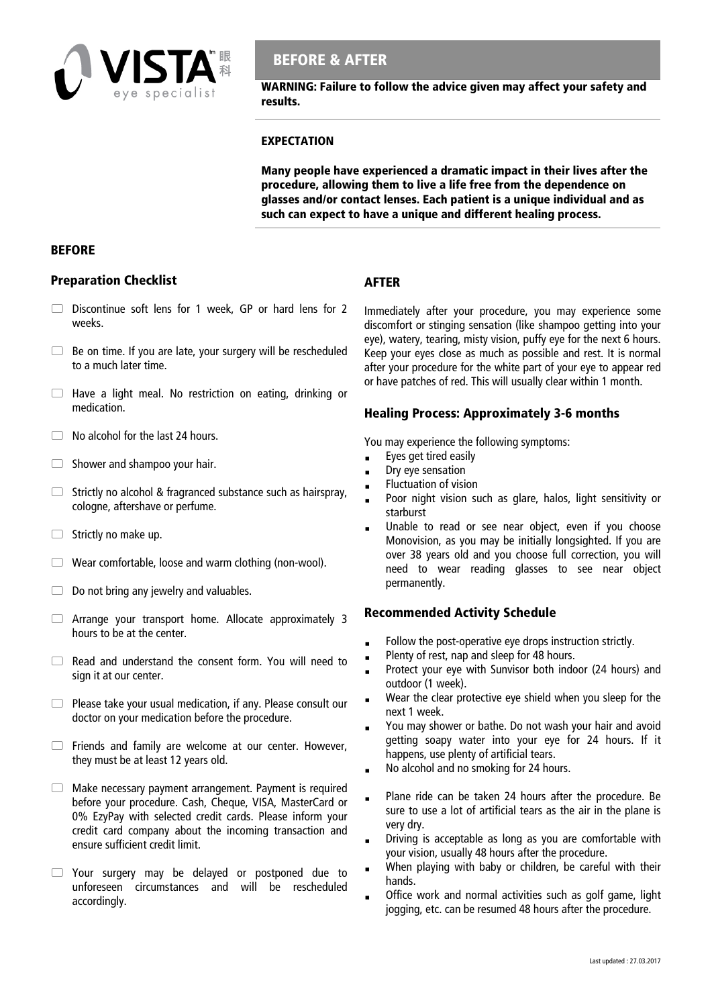

# **BEFORE & AFTER**

**WARNING: Failure to follow the advice given may affect your safety and results.** 

#### **EXPECTATION**

**Many people have experienced a dramatic impact in their lives after the procedure, allowing them to live a life free from the dependence on glasses and/or contact lenses. Each patient is a unique individual and as such can expect to have a unique and different healing process.** 

#### **BEFORE**

### **Preparation Checklist**

- $\Box$  Discontinue soft lens for 1 week. GP or hard lens for 2 weeks.
- $\Box$  Be on time. If you are late, your surgery will be rescheduled to a much later time.
- $\Box$  Have a light meal. No restriction on eating, drinking or medication.
- $\Box$  No alcohol for the last 24 hours.
- $\Box$  Shower and shampoo your hair.
- $\Box$  Strictly no alcohol & fragranced substance such as hairspray, cologne, aftershave or perfume.
- $\Box$  Strictly no make up.
- $\Box$  Wear comfortable, loose and warm clothing (non-wool).
- $\Box$  Do not bring any jewelry and valuables.
- Arrange your transport home. Allocate approximately 3 hours to be at the center.
- $\Box$  Read and understand the consent form. You will need to sign it at our center.
- $\Box$  Please take your usual medication, if any. Please consult our doctor on your medication before the procedure.
- Friends and family are welcome at our center. However, they must be at least 12 years old.
- $\Box$  Make necessary payment arrangement. Payment is required before your procedure. Cash, Cheque, VISA, MasterCard or 0% EzyPay with selected credit cards. Please inform your credit card company about the incoming transaction and ensure sufficient credit limit.
- Your surgery may be delayed or postponed due to unforeseen circumstances and will be rescheduled accordingly.

Immediately after your procedure, you may experience some discomfort or stinging sensation (like shampoo getting into your eye), watery, tearing, misty vision, puffy eye for the next 6 hours. Keep your eyes close as much as possible and rest. It is normal after your procedure for the white part of your eye to appear red or have patches of red. This will usually clear within 1 month.

## **Healing Process: Approximately 3-6 months**

You may experience the following symptoms:

**Exes get tired easily** 

**AFTER** 

- Dry eye sensation
- Fluctuation of vision
- Poor night vision such as glare, halos, light sensitivity or starburst
- Unable to read or see near object, even if you choose Monovision, as you may be initially longsighted. If you are over 38 years old and you choose full correction, you will need to wear reading glasses to see near object permanently.

## **Recommended Activity Schedule**

- Follow the post-operative eye drops instruction strictly.
- Plenty of rest, nap and sleep for 48 hours.
- **Protect your eye with Sunvisor both indoor (24 hours) and** outdoor (1 week).
- Wear the clear protective eye shield when you sleep for the next 1 week.
- You may shower or bathe. Do not wash your hair and avoid getting soapy water into your eye for 24 hours. If it happens, use plenty of artificial tears.
- No alcohol and no smoking for 24 hours.
- Plane ride can be taken 24 hours after the procedure. Be sure to use a lot of artificial tears as the air in the plane is very dry.
- Driving is acceptable as long as you are comfortable with your vision, usually 48 hours after the procedure.
- **When playing with baby or children, be careful with their** hands.
- Office work and normal activities such as golf game, light jogging, etc. can be resumed 48 hours after the procedure.